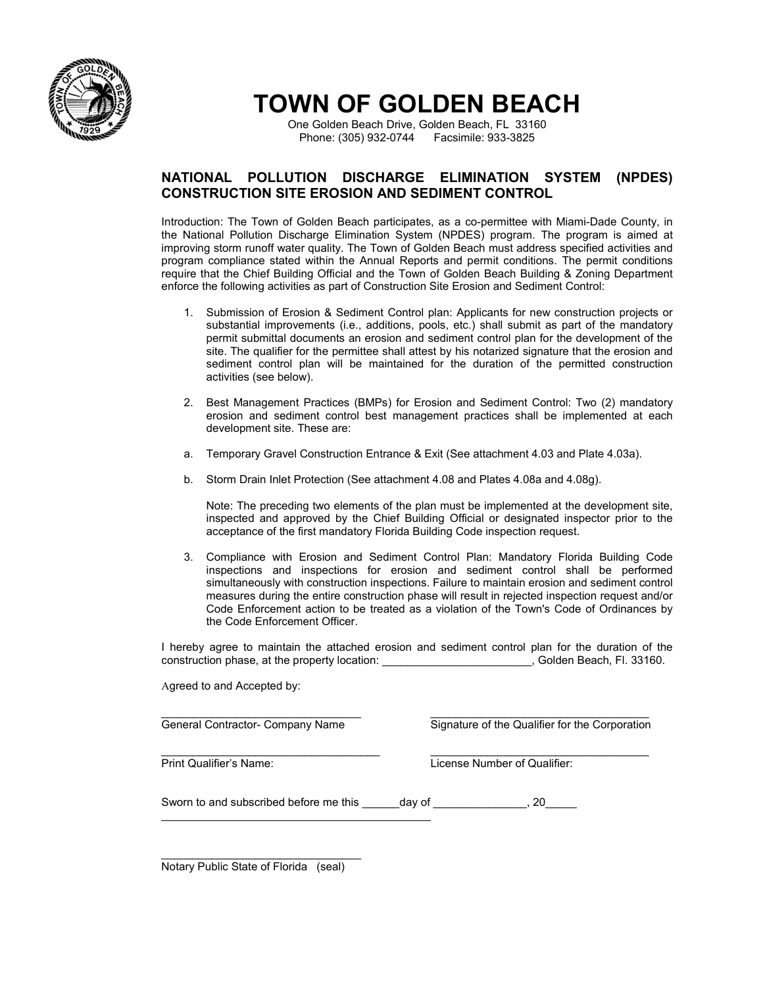

# **TOWN OF GOLDEN BEACH**

One Golden Beach Drive, Golden Beach, FL 33160 Phone: (305) 932-0744 Facsimile: 933-3825

#### **NATIONAL POLLUTION DISCHARGE ELIMINATION SYSTEM (NPDES) CONSTRUCTION SITE EROSION AND SEDIMENT CONTROL**

Introduction: The Town of Golden Beach participates, as a co-permittee with Miami-Dade County, in the National Pollution Discharge Elimination System (NPDES) program. The program is aimed at improving storm runoff water quality. The Town of Golden Beach must address specified activities and program compliance stated within the Annual Reports and permit conditions. The permit conditions require that the Chief Building Official and the Town of Golden Beach Building & Zoning Department enforce the following activities as part of Construction Site Erosion and Sediment Control:

- 1. Submission of Erosion & Sediment Control plan: Applicants for new construction projects or substantial improvements (i.e., additions, pools, etc.) shall submit as part of the mandatory permit submittal documents an erosion and sediment control plan for the development of the site. The qualifier for the permittee shall attest by his notarized signature that the erosion and sediment control plan will be maintained for the duration of the permitted construction activities (see below).
- 2. Best Management Practices (BMPs) for Erosion and Sediment Control: Two (2) mandatory erosion and sediment control best management practices shall be implemented at each development site. These are:
- a. Temporary Gravel Construction Entrance & Exit (See attachment 4.03 and Plate 4.03a).
- b. Storm Drain Inlet Protection (See attachment 4.08 and Plates 4.08a and 4.08g).

Note: The preceding two elements of the plan must be implemented at the development site, inspected and approved by the Chief Building Official or designated inspector prior to the acceptance of the first mandatory Florida Building Code inspection request.

3. Compliance with Erosion and Sediment Control Plan: Mandatory Florida Building Code inspections and inspections for erosion and sediment control shall be performed simultaneously with construction inspections. Failure to maintain erosion and sediment control measures during the entire construction phase will result in rejected inspection request and/or Code Enforcement action to be treated as a violation of the Town's Code of Ordinances by the Code Enforcement Officer.

I hereby agree to maintain the attached erosion and sediment control plan for the duration of the construction phase, at the property location: \_\_\_\_\_\_\_\_\_\_\_\_\_\_\_\_\_\_\_\_\_\_\_\_, Golden Beach, Fl. 33160.

Agreed to and Accepted by:

\_\_\_\_\_\_\_\_\_\_\_\_\_\_\_\_\_\_\_\_\_\_\_\_\_\_\_\_\_\_\_\_ \_\_\_\_\_\_\_\_\_\_\_\_\_\_\_\_\_\_\_\_\_\_\_\_\_\_\_\_\_\_\_\_\_\_\_ General Contractor- Company Name Signature of the Qualifier for the Corporation

 $\_$  , and the set of the set of the set of the set of the set of the set of the set of the set of the set of the set of the set of the set of the set of the set of the set of the set of the set of the set of the set of th **Print Qualifier's Name:** License Number of Qualifier:

Sworn to and subscribed before me this day of the same contact the subscribed before me this day of the same contact the same contact the same contact the same contact the same contact the same contact the same contact the

\_\_\_\_\_\_\_\_\_\_\_\_\_\_\_\_\_\_\_\_\_\_\_\_\_\_\_\_\_\_\_\_ Notary Public State of Florida (seal)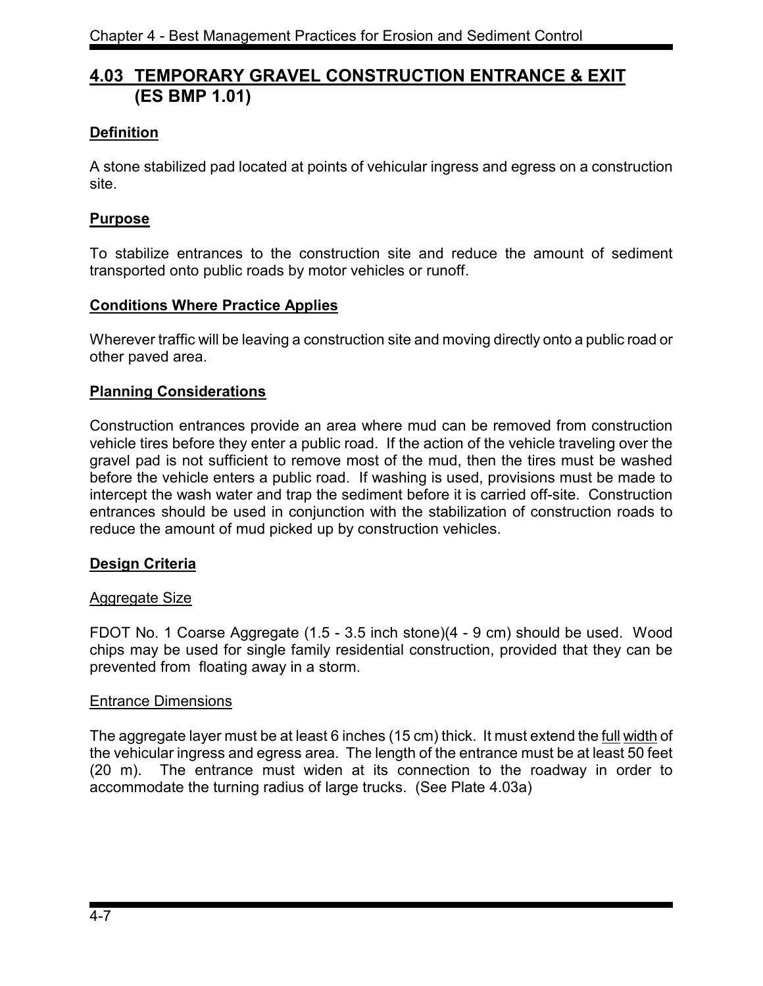# **4.03 TEMPORARY GRAVEL CONSTRUCTION ENTRANCE & EXIT (ES BMP 1.01)**

# **Definition**

A stone stabilized pad located at points of vehicular ingress and egress on a construction site.

## **Purpose**

To stabilize entrances to the construction site and reduce the amount of sediment transported onto public roads by motor vehicles or runoff.

#### **Conditions Where Practice Applies**

Wherever traffic will be leaving a construction site and moving directly onto a public road or other paved area.

#### **Planning Considerations**

Construction entrances provide an area where mud can be removed from construction vehicle tires before they enter a public road. If the action of the vehicle traveling over the gravel pad is not sufficient to remove most of the mud, then the tires must be washed before the vehicle enters a public road. If washing is used, provisions must be made to intercept the wash water and trap the sediment before it is carried off-site. Construction entrances should be used in conjunction with the stabilization of construction roads to reduce the amount of mud picked up by construction vehicles.

## **Design Criteria**

#### Aggregate Size

FDOT No. 1 Coarse Aggregate (1.5 - 3.5 inch stone)(4 - 9 cm) should be used. Wood chips may be used for single family residential construction, provided that they can be prevented from floating away in a storm.

#### Entrance Dimensions

The aggregate layer must be at least 6 inches (15 cm) thick. It must extend the full width of the vehicular ingress and egress area. The length of the entrance must be at least 50 feet (20 m). The entrance must widen at its connection to the roadway in order to accommodate the turning radius of large trucks. (See Plate 4.03a)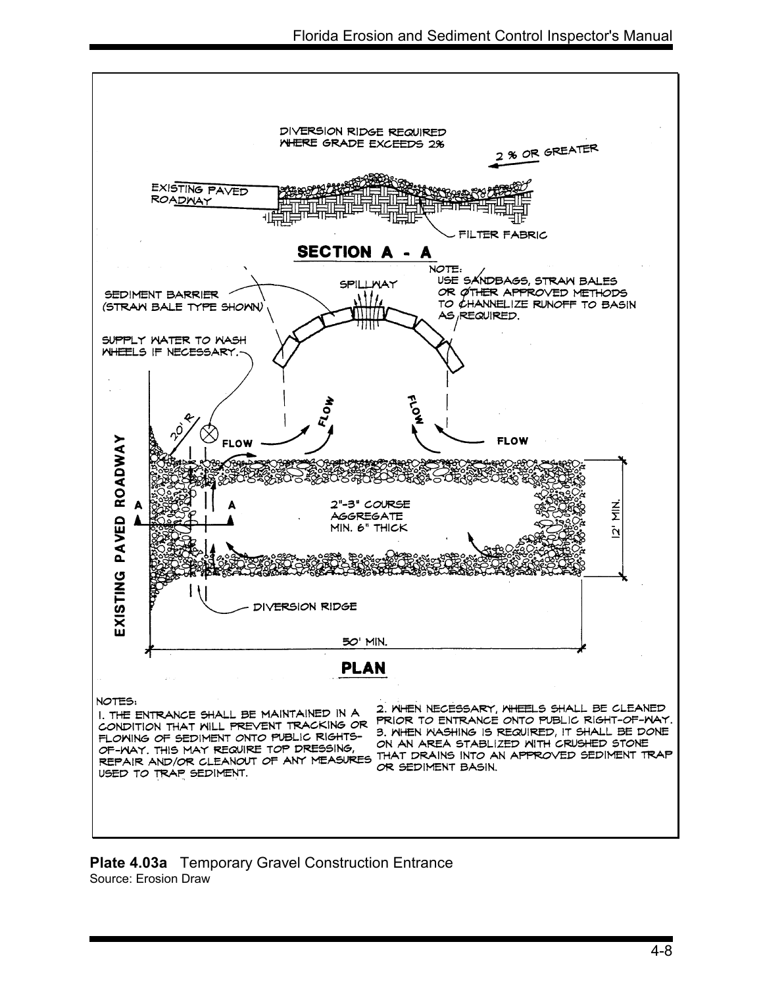

**Plate 4.03a** Temporary Gravel Construction Entrance Source: Erosion Draw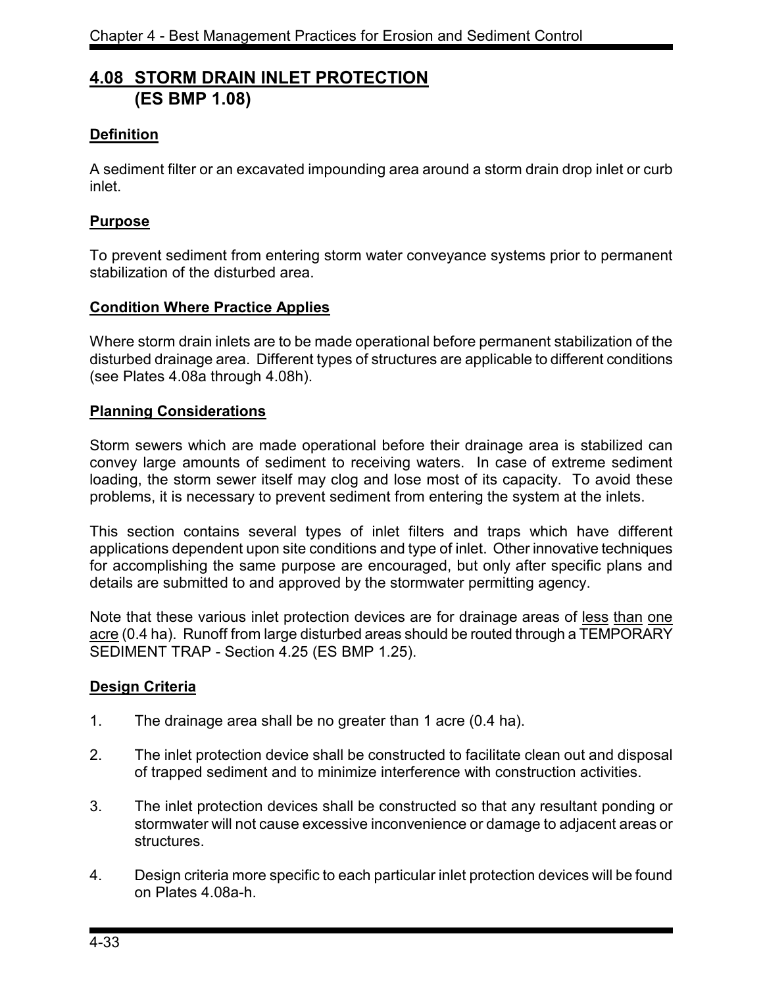# **4.08 STORM DRAIN INLET PROTECTION (ES BMP 1.08)**

## **Definition**

A sediment filter or an excavated impounding area around a storm drain drop inlet or curb inlet.

#### **Purpose**

To prevent sediment from entering storm water conveyance systems prior to permanent stabilization of the disturbed area.

#### **Condition Where Practice Applies**

Where storm drain inlets are to be made operational before permanent stabilization of the disturbed drainage area. Different types of structures are applicable to different conditions (see Plates 4.08a through 4.08h).

#### **Planning Considerations**

Storm sewers which are made operational before their drainage area is stabilized can convey large amounts of sediment to receiving waters. In case of extreme sediment loading, the storm sewer itself may clog and lose most of its capacity. To avoid these problems, it is necessary to prevent sediment from entering the system at the inlets.

This section contains several types of inlet filters and traps which have different applications dependent upon site conditions and type of inlet. Other innovative techniques for accomplishing the same purpose are encouraged, but only after specific plans and details are submitted to and approved by the stormwater permitting agency.

Note that these various inlet protection devices are for drainage areas of less than one acre (0.4 ha). Runoff from large disturbed areas should be routed through a TEMPORARY SEDIMENT TRAP - Section 4.25 (ES BMP 1.25).

#### **Design Criteria**

- 1. The drainage area shall be no greater than 1 acre (0.4 ha).
- 2. The inlet protection device shall be constructed to facilitate clean out and disposal of trapped sediment and to minimize interference with construction activities.
- 3. The inlet protection devices shall be constructed so that any resultant ponding or stormwater will not cause excessive inconvenience or damage to adjacent areas or structures.
- 4. Design criteria more specific to each particular inlet protection devices will be found on Plates 4.08a-h.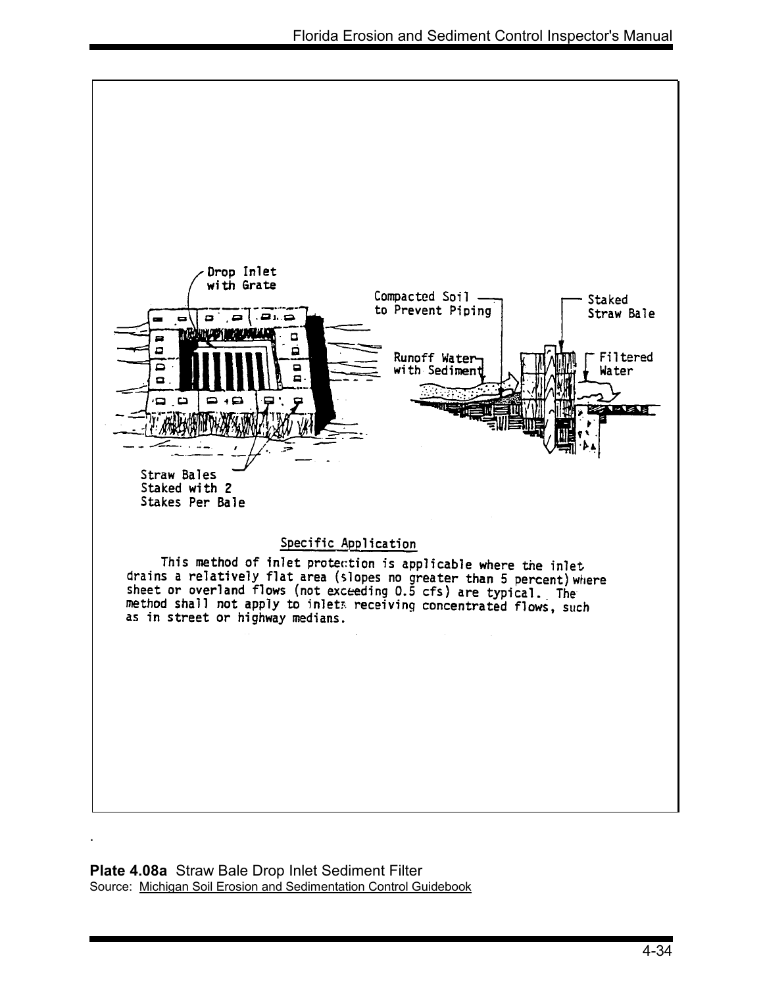

**Plate 4.08a** Straw Bale Drop Inlet Sediment Filter Source: Michigan Soil Erosion and Sedimentation Control Guidebook